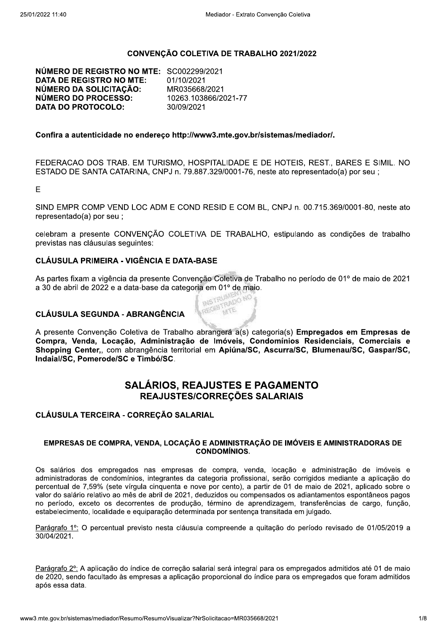## CONVENÇÃO COLETIVA DE TRABALHO 2021/2022

NÚMERO DE REGISTRO NO MTE: SC002299/2021 **DATA DE REGISTRO NO MTE:** 01/10/2021 NÚMERO DA SOLICITAÇÃO: MR035668/2021 NÚMERO DO PROCESSO: 10263.103866/2021-77 **DATA DO PROTOCOLO:** 30/09/2021

#### Confira a autenticidade no endereco http://www3.mte.gov.br/sistemas/mediador/.

FEDERACAO DOS TRAB. EM TURISMO, HOSPITALIDADE E DE HOTEIS, REST., BARES E SIMIL, NO ESTADO DE SANTA CATARINA, CNPJ n. 79.887.329/0001-76, neste ato representado(a) por seu ;

E

SIND EMPR COMP VEND LOC ADM E COND RESID E COM BL, CNPJ n. 00.715.369/0001-80, neste ato representado(a) por seu;

celebram a presente CONVENÇÃO COLETIVA DE TRABALHO, estipulando as condições de trabalho previstas nas cláusulas seguintes:

## **CLÁUSULA PRIMEIRA - VIGÊNCIA E DATA-BASE**

As partes fixam a vigência da presente Convenção Coletiva de Trabalho no período de 01º de maio de 2021 a 30 de abril de 2022 e a data-base da categoria em 01º de maio. REGISTRADO NO

## **CLÁUSULA SEGUNDA - ABRANGÊNCIA**

A presente Convenção Coletiva de Trabalho abrangerá a(s) categoria(s) Empregados em Empresas de Compra, Venda, Locação, Administração de Imóveis, Condomínios Residenciais, Comerciais e Shopping Center, com abrangência territorial em Apiúna/SC, Ascurra/SC, Blumenau/SC, Gaspar/SC, Indaial/SC. Pomerode/SC e Timbó/SC.

## **SALÁRIOS. REAJUSTES E PAGAMENTO** REAJUSTES/CORREÇÕES SALARIAIS

CLÁUSULA TERCEIRA - CORREÇÃO SALARIAL

#### EMPRESAS DE COMPRA, VENDA, LOCACÃO E ADMINISTRAÇÃO DE IMÓVEIS E AMINISTRADORAS DE **CONDOMÍNIOS.**

Os salários dos empregados nas empresas de compra, venda, locação e administração de imóveis e administradoras de condomínios, integrantes da categoria profissional, serão corrigidos mediante a aplicação do percentual de 7,59% (sete vírgula cinquenta e nove por cento), a partir de 01 de maio de 2021, aplicado sobre o valor do salário relativo ao mês de abril de 2021, deduzidos ou compensados os adiantamentos espontâneos pagos no período, exceto os decorrentes de produção, término de aprendizagem, transferências de cargo, função, estabelecimento, localidade e equiparação determinada por sentença transitada em julgado.

Parágrafo 1º: O percentual previsto nesta cláusula compreende a quitação do período revisado de 01/05/2019 a 30/04/2021.

Parágrafo 2<sup>o</sup>: A aplicação do índice de correção salarial será integral para os empregados admitidos até 01 de maio de 2020, sendo facultado às empresas a aplicação proporcional do índice para os empregados que foram admitidos após essa data.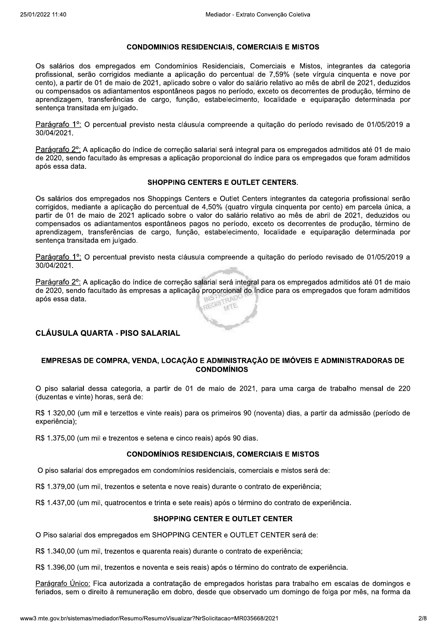#### **CONDOMINIOS RESIDENCIAIS, COMERCIAIS E MISTOS**

Os salários dos empregados em Condomínios Residenciais, Comerciais e Mistos, integrantes da categoria profissional, serão corrigidos mediante a aplicação do percentual de 7,59% (sete vírgula cinquenta e nove por cento), a partir de 01 de maio de 2021, aplicado sobre o valor do salário relativo ao mês de abril de 2021, deduzidos ou compensados os adiantamentos espontâneos pagos no período, exceto os decorrentes de produção, término de aprendizagem, transferências de cargo, função, estabelecimento, localidade e equiparação determinada por sentenca transitada em julgado.

Parágrafo 1º: O percentual previsto nesta cláusula compreende a quitação do período revisado de 01/05/2019 a 30/04/2021.

Parágrafo 2<sup>o</sup>: A aplicação do índice de correção salarial será integral para os empregados admitidos até 01 de maio de 2020, sendo facultado às empresas a aplicação proporcional do índice para os empregados que foram admitidos após essa data.

#### **SHOPPING CENTERS E OUTLET CENTERS.**

Os salários dos empregados nos Shoppings Centers e Outlet Centers integrantes da categoria profissional serão corrigidos, mediante a aplicação do percentual de 4,50% (quatro vírgula cinquenta por cento) em parcela única, a partir de 01 de maio de 2021 aplicado sobre o valor do salário relativo ao mês de abril de 2021, deduzidos ou compensados os adiantamentos espontâneos pagos no período, exceto os decorrentes de produção, término de aprendizagem, transferências de cargo, função, estabelecimento, localidade e equiparação determinada por sentença transitada em julgado.

Parágrafo 1º: O percentual previsto nesta cláusula compreende a quitação do período revisado de 01/05/2019 a 30/04/2021.

Parágrafo 2<sup>o</sup>: A aplicação do índice de correção salarial será integral para os empregados admitidos até 01 de maio de 2020, sendo facultado às empresas a aplicação proporcional do índice para os empregados que foram admitidos após essa data.

## CLÁUSULA QUARTA - PISO SALARIAL

#### EMPRESAS DE COMPRA, VENDA, LOCAÇÃO E ADMINISTRAÇÃO DE IMÓVEIS E ADMINISTRADORAS DE **CONDOMÍNIOS**

O piso salarial dessa categoria, a partir de 01 de maio de 2021, para uma carga de trabalho mensal de 220 (duzentas e vinte) horas, será de:

R\$ 1.320,00 (um mil e terzettos e vinte reais) para os primeiros 90 (noventa) dias, a partir da admissão (período de experiência);

R\$ 1.375,00 (um mil e trezentos e setena e cinco reais) após 90 dias.

#### **CONDOMÍNIOS RESIDENCIAIS, COMERCIAIS E MISTOS**

O piso salarial dos empregados em condomínios residenciais, comerciais e mistos será de:

R\$ 1.379,00 (um mil, trezentos e setenta e nove reais) durante o contrato de experiência;

R\$ 1.437,00 (um mil, quatrocentos e trinta e sete reais) após o término do contrato de experiência.

#### **SHOPPING CENTER E OUTLET CENTER**

O Piso salarial dos empregados em SHOPPING CENTER e OUTLET CENTER será de:

R\$ 1.340,00 (um mil, trezentos e quarenta reais) durante o contrato de experiência;

R\$ 1.396,00 (um mil, trezentos e noventa e seis reais) após o término do contrato de experiência.

Parágrafo Único: Fica autorizada a contratação de empregados horistas para trabalho em escalas de domingos e feriados, sem o direito à remuneração em dobro, desde que observado um domingo de folga por mês, na forma da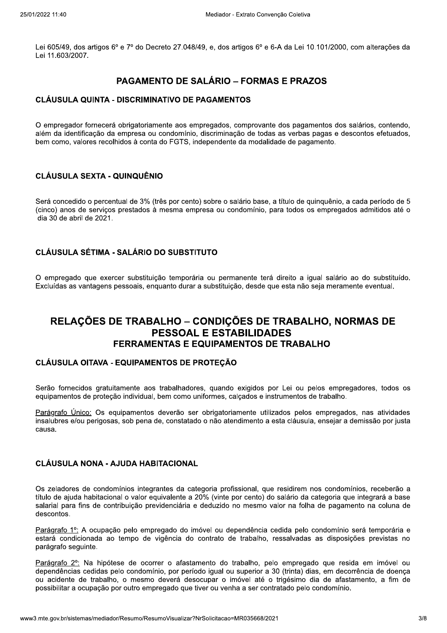Lei 605/49, dos artigos 6º e 7º do Decreto 27.048/49, e, dos artigos 6º e 6-A da Lei 10.101/2000, com alterações da Lei 11.603/2007.

## **PAGAMENTO DE SALÁRIO – FORMAS E PRAZOS**

## **CLÁUSULA QUINTA - DISCRIMINATIVO DE PAGAMENTOS**

O empregador fornecerá obrigatoriamente aos empregados, comprovante dos pagamentos dos salários, contendo, além da identificação da empresa ou condomínio, discriminação de todas as verbas pagas e descontos efetuados, bem como, valores recolhidos à conta do FGTS, independente da modalidade de pagamento.

## **CLÁUSULA SEXTA - QUINQUÊNIO**

Será concedido o percentual de 3% (três por cento) sobre o salário base, a título de quinquênio, a cada período de 5 (cinco) anos de serviços prestados à mesma empresa ou condomínio, para todos os empregados admitidos até o dia 30 de abril de 2021.

## CLÁUSULA SÉTIMA - SALÁRIO DO SUBSTITUTO

O empregado que exercer substituicão temporária ou permanente terá direito a igual salário ao do substituído. Excluídas as vantagens pessoais, enguanto durar a substituição, desde que esta não seja meramente eventual.

# RELAÇÕES DE TRABALHO – CONDIÇÕES DE TRABALHO, NORMAS DE **PESSOAL E ESTABILIDADES FERRAMENTAS E EQUIPAMENTOS DE TRABALHO**

## CLÁUSULA OITAVA - EQUIPAMENTOS DE PROTEÇÃO

Serão fornecidos gratuitamente aos trabalhadores, quando exigidos por Lei ou pelos empregadores, todos os equipamentos de proteção individual, bem como uniformes, calçados e instrumentos de trabalho.

Parágrafo Único: Os equipamentos deverão ser obrigatoriamente utilizados pelos empregados, nas atividades insalubres e/ou perigosas, sob pena de, constatado o não atendimento a esta cláusula, ensejar a demissão por justa **CALISA** 

## CLÁUSULA NONA - AJUDA HABITACIONAL

Os zeladores de condomínios integrantes da categoria profissional, que residirem nos condomínios, receberão a título de ajuda habitacional o valor equivalente a 20% (vinte por cento) do salário da categoria que integrará a base salarial para fins de contribuição previdenciária e deduzido no mesmo valor na folha de pagamento na coluna de descontos.

Parágrafo 1º: A ocupação pelo empregado do imóvel ou dependência cedida pelo condomínio será temporária e estará condicionada ao tempo de vigência do contrato de trabalho, ressalvadas as disposições previstas no parágrafo seguinte.

Parágrafo 2°: Na hipótese de ocorrer o afastamento do trabalho, pelo empregado que resida em imóvel ou dependências cedidas pelo condomínio, por período igual ou superior a 30 (trinta) dias, em decorrência de doença ou acidente de trabalho, o mesmo deverá desocupar o imóvel até o trigésimo dia de afastamento, a fim de possibilitar a ocupação por outro empregado que tiver ou venha a ser contratado pelo condomínio.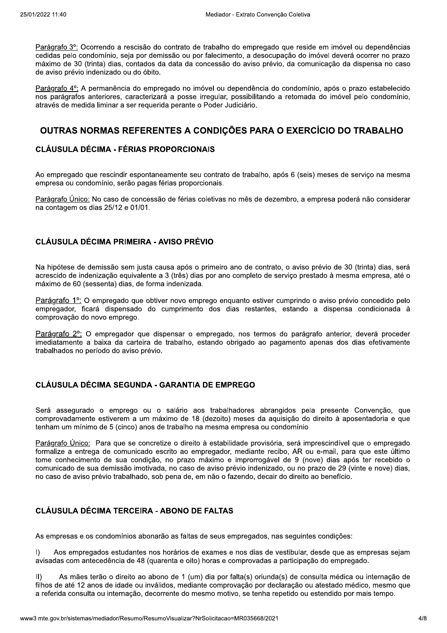Parágrafo 3º: Ocorrendo a rescisão do contrato de trabalho do empregado que reside em imóvel ou dependências cedidas pelo condomínio, seja por demissão ou por falecimento, a desocupação do imóvel deverá ocorrer no prazo máximo de 30 (trinta) dias, contados da data da concessão do aviso prévio, da comunicação da dispensa no caso de aviso prévio indenizado ou do óbito.

Parágrafo 4°: A permanência do empregado no imóvel ou dependência do condomínio, após o prazo estabelecido nos parágrafos anteriores, caracterizará a posse irregular, possibilitando a retomada do imóvel pelo condomínio, através de medida liminar a ser requerida perante o Poder Judiciário.

## OUTRAS NORMAS REFERENTES A CONDICÕES PARA O EXERCÍCIO DO TRABALHO

## **CLÁUSULA DÉCIMA - FÉRIAS PROPORCIONAIS**

Ao empregado que rescindir espontaneamente seu contrato de trabalho, após 6 (seis) meses de servico na mesma empresa ou condomínio, serão pagas férias proporcionais.

Parágrafo Único: No caso de concessão de férias coletivas no mês de dezembro, a empresa poderá não considerar na contagem os dias 25/12 e 01/01.

## **CLÁUSULA DÉCIMA PRIMEIRA - AVISO PRÉVIO**

Na hipótese de demissão sem justa causa após o primeiro ano de contrato, o aviso prévio de 30 (trinta) dias, será acrescido de indenização equivalente a 3 (três) dias por ano completo de serviço prestado à mesma empresa, até o máximo de 60 (sessenta) dias, de forma indenizada.

Parágrafo 1º: O empregado que obtiver novo emprego enquanto estiver cumprindo o aviso prévio concedido pelo empregador, ficará dispensado do cumprimento dos dias restantes, estando a dispensa condicionada à comprovação do novo emprego.

Parágrafo 2°: O empregador que dispensar o empregado, nos termos do parágrafo anterior, deverá proceder imediatamente a baixa da carteira de trabalho, estando obrigado ao pagamento apenas dos dias efetivamente trabalhados no período do aviso prévio.

## **CLÁUSULA DÉCIMA SEGUNDA - GARANTIA DE EMPREGO**

Será assegurado o emprego ou o salário aos trabalhadores abrangidos pela presente Convenção, que comprovadamente estiverem a um máximo de 18 (dezoito) meses da aquisição do direito à aposentadoria e que tenham um mínimo de 5 (cinco) anos de trabalho na mesma empresa ou condomínio.

Parágrafo Único: Para que se concretize o direito à estabilidade provisória, será imprescindível que o empregado formalize a entrega de comunicado escrito ao empregador, mediante recibo. AR ou e-mail, para que este último tome conhecimento de sua condição, no prazo máximo e improrrogável de 9 (nove) dias após ter recebido o comunicado de sua demissão imotivada, no caso de aviso prévio indenizado, ou no prazo de 29 (vinte e nove) dias, no caso de aviso prévio trabalhado, sob pena de, em não o fazendo, decair do direito ao benefício.

## **CLÁUSULA DÉCIMA TERCEIRA - ABONO DE FALTAS**

As empresas e os condomínios abonarão as faltas de seus empregados, nas seguintes condições:

 $\vert$ Aos empregados estudantes nos horários de exames e nos dias de vestibular, desde que as empresas sejam avisadas com antecedência de 48 (quarenta e oito) horas e comprovadas a participação do empregado.

As mães terão o direito ao abono de 1 (um) dia por falta(s) oriunda(s) de consulta médica ou internação de  $\parallel$ filhos de até 12 anos de idade ou inválidos, mediante comprovação por declaração ou atestado médico, mesmo que a referida consulta ou internação, decorrente do mesmo motivo, se tenha repetido ou estendido por mais tempo,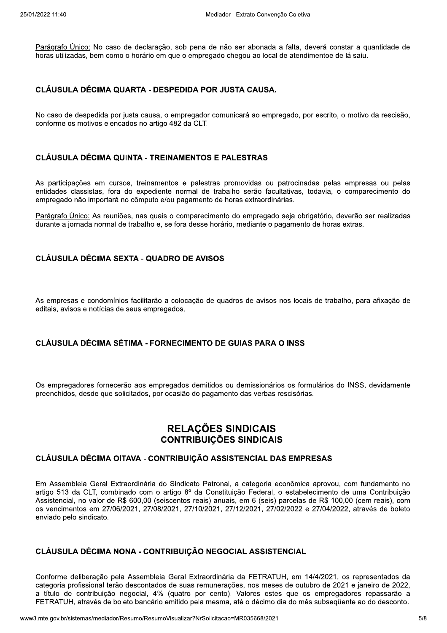25/01/2022 11:40<br>
<u>Parágrafo Único:</u> No caso de declaração, s<br>
horas utilizadas, bem como o horário em que<br> **CLÁUSULA DÉCIMA QUARTA - DESPE**<br>
No caso de despedida por justa causa, o en e declaração, sob pena de não ser abonada a falta, deverá constar a quantidade de Medes Mediano de declaração, sob pena de<br>
A DÉCIMA QUARTA - DESPEDIDA POR<br>
De despedida por justa causa, o empregador contratoriale de despedida por justa causa, o empregador contratoriale de la median<br>
De despedida por ju Convenção Coletiva<br>onada a falta, deverá constar a quantidade<br>o local de atendimentoe de lá saiu.<br>**USA.**<br>o empregado, por escrito, o motivo da rescisá horas utilizadas, bem como o horário em que o empregado chegou ao local de atendimentoe de lá saiu.

## CLÁUSULA DÉCIMA QUARTA - DESPEDIDA POR JUSTA CAUSA.

Mediac<br>
Parágrafo Único: No caso de declaração, sob pena de n<br>
horas utilizadas, bem como o horário em que o empregado<br> **CLÁUSULA DÉCIMA QUARTA - DESPEDIDA POR J**<br>
No caso de despedida por justa causa, o empregador com<br>
co Mediador - Extrato Convenção Coletiva<br>
ação, sob pena de não ser abonada a falta, deverá con<br>
em que o empregado chegou ao local de atendimentoe de<br> **DESPEDIDA POR JUSTA CAUSA.**<br>
sa, o empregador comunicará ao empregado, p Parágrafo Unico: No caso<br>horas utilizadas, bem com<br>**CLÁUSULA DÉCIMA Q**<br>No caso de despedida po<br>conforme os motivos eleno<br>**CLÁUSULA DÉCIMA Q**<br>As participações em cur e despedida Unico: No caso de declaração, sob pena d<br>tadas, bem como o horário em que o empreg<br>**LA DÉCIMA QUARTA - DESPEDIDA PO**<br>e despedida por justa causa, o empregador o<br>os motivos elencados no artigo 482 da CLT.<br>**LA DÉCIMA QUINTA** eclaração, sob pena de não ser abonada a falta, do rário em que o empregado chegou ao local de atendo<br> **'A - DESPEDIDA POR JUSTA CAUSA.**<br>
Causa, o empregador comunicará ao empregado, po<br>
no artigo 482 da CLT.<br>
A - TREINAME nbonada a falta, deverá constar a quantidad<br>
ao local de atendimentoe de lá saiu.<br> **CAUSA.**<br>
ao empregado, por escrito, o motivo da resc<br> **RAS**<br>
das ou patrocinadas pelas empresas ou p os no artigo 482 da CLT.

## CLÁUSULA DÉCIMA QUINTA - TREINAMENTOS E PALESTRAS

Parágrafo Unico; No caso de declaração, sob pena de não ser abonada a talta, deverá constar a quantidade de<br>
horas utilizadas, bem como o horário em que o empregado chegou ao local de atendimentoe de lá saiu.<br> **CLÁUSULA DÉ** No caso de despedida por justa causa, o empregador comunicará ao<br>conforme os motivos elencados no artigo 482 da CLT.<br>**CLÁUSULA DÉCIMA QUINTA - TREINAMENTOS E PALESTR**<br>As participações em cursos, treinamentos e palestras pr municará ao empregado, por escrito, o motivo<br> **PALESTRAS**<br>
promovidas ou patrocinadas pelas empres<br>
balho serão facultativas, todavia, o compa<br>
khoras extraordinárias.<br>
ato do empregado seja obrigatório, deverão s<br>
ário, m As participações em cursos, treinamentos e palestras promovidas ou patrocinadas pelas empresas ou pelas entidades classistas, fora do expediente normal de trabalho serão facultativas, todavia, o comparecimento do conforme os motivos elencados n<br>
CLÁUSULA DÉCIMA QUINTA<br>
As participações em cursos, tre<br>
entidades classistas, fora do ex<br>
empregado não importará no côm<br>
<u>Parágrafo Único:</u> As reuniões, na<br>
durante a jornada normal de tr LT.<br>**COS E PALESTRAS**<br>lestras promovidas ou patrocinadas pelas<br>de trabalho serão facultativas, todavia, o<br>ento de horas extraordinárias.<br>recimento do empregado seja obrigatório, de<br>se horário, mediante o pagamento de horas r patrocinadas pelas empresas ou pelas<br>cultativas, todavia, o comparecimento do<br>nárias.<br>do seja obrigatório, deverão ser realizadas<br>pagamento de horas extras. empregado não importará no cômputo e/ou pagamento de horas extraordir **SULA DÉCIMA QUINTA - TREINAMENTO<br>ticipações em cursos, treinamentos e pale<br>les classistas, fora do expediente normal o<br>gado não importará no cômputo e/ou pagame<br>afo Único: As reuniões, nas quais o compare<br>e a jornada norm** CLÁUSULA DÉCIMA QUINTA - TREINAMENTOS E PALESTRAS<br>As participações em cursos, treinamentos e palestras promovidas ou patrocionidades classistas, fora do expediente normal de trabalho serão facultativas<br>empregado não import

o empregado seja obrigatório, deverão ser realizadas durante a iornada normal de trabalho e, se fora desse horário, mediante o pagamento de horas extras,

## CLÁUSULA DÉCIMA SEXTA - QUADRO DE AVISOS

CLÁUSULA DÉCIMA SEXTA - QUA<br>As empresas e condomínios facilitarão<br>editais, avisos e notícias de seus empr<br>CLÁUSULA DÉCIMA SÉTIMA - FO JLA DÉCIMA SEXTA - QUADRO DE AVISOS<br>esas e condomínios facilitarão a colocação de quadros de<br>visos e notícias de seus empregados.<br>JLA DÉCIMA SÉTIMA - FORNECIMENTO DE GUIAS I e quadros de avisos nos locais de trabalho, para afixação de adros de avisos nos locais de trabalho, para<br>GUIAS PARA O INSS editais, avisos e notícias de seus empregados. CLÁUSULA DÉCIMA SEXTA - QUADR<br>As empresas e condomínios facilitarão a c<br>editais, avisos e notícias de seus empregad<br>CLÁUSULA DÉCIMA SÉTIMA - FORNI

## CLÁUSULA DÉCIMA SÉTIMA - FORNECIMENTO DE GUIAS PARA O INSS

Os empregadores fornecerão aos empregados demitidos ou demissionários os formulários do INSS, devida LÁUSULA DÉCIMA SÉTIMA - FORNECII<br>
s empregadores fornecerão aos empregado<br>
reenchidos, desde que solicitados, por ocasiã<br> **REL<br>
CONT**<br>
I ÁUSULA DÉCIMA OITAVA - CONTRIBI CLÁUSULA DÉCIMA SÉTIMA - FORNECIMENTO DE GUIAS PARA O INSS<br>Os empregadores fornecerão aos empregados demitidos ou demissionários os formulários do INSS, devidamente<br>preenchidos, desde que solicitados, por ocasião do pagame os. desde que solicitados, por ocasião do pagamento da USULA DÉCIMA SÉTIMA - FORNECIME<br>
Impregadores fornecerão aos empregados de<br>
Ichidos, desde que solicitados, por ocasião do<br> **RELA(CONTRIE**<br>
USULA DÉCIMA OITAVA - CONTRIBUIÇ, IMA SÉTIMA - FORNECIMENTO DE GUI<br>fornecerão aos empregados demitidos ou de<br>eque solicitados, por ocasião do pagamento<br>**RELAÇÕES SIN<br>CONTRIBUIÇÕES S**<br>IMA OITAVA - CONTRIBUIÇÃO ASSISTE CLÁUSULA DÉCIMA SÉTIMA - FORNECIMENTO DE GUIAS PARA O INSS<br>Os empregadores fornecerão aos empregados demitidos ou demissionários os formulários do INS<br>preenchidos, desde que solicitados, por ocasião do pagamento das verbas

## RELAÇÕES SINDICAIS CONTRIBUIÇÕES SINDICAIS

#### CLÁUSULA DÉCIMA OITAVA - CONTRIBUICÃO ASSISTENCIAL DAS EMPRESAS

Em Assembleia Geral Extraordinária do Sindicato Patronal, a categoria econômica aprovou, com fundamento no **RELAÇÕES SINDICAIS**<br> **CONTRIBUIÇÕES SINDICAIS**<br>
DITAVA - CONTRIBUIÇÃO ASSISTENCIAL DAS EMPRESAS<br>
Extraordinária do Sindicato Patronal, a categoria econômica aprovou, com fundamento no<br>
bibinado com o artigo 8º da Constitu artigo 513 da CLT. combinado com o artigo 8º da Constituição Fede **CO**<br>CLÁUSULA DÉCIMA OITAVA - CONTF<br>Em Assembleia Geral Extraordinária do S<br>artigo 513 da CLT, combinado com o arti<br>Assistencial, no valor de R\$ 600,00 (seisc<br>os vencimentos em 27/06/2021, 27/08/202<br>enviado pelo sindicato. RELAÇÕI<br>
CONTRIBUION<br>
EA DÉCIMA OITAVA - CONTRIBUIÇÃO<br>
mbleia Geral Extraordinária do Sindicato Pa<br>
3 da CLT, combinado com o artigo 8º da Co<br>
ial, no valor de R\$ 600,00 (seiscentos reais)<br>
nentos em 27/06/2021, 27/08/2021 **IDICAIS**<br>
SINDICAIS<br>
ENCIAL DAS EMPRESAS<br>
categoria econômica aprovou, com fundam<br>
io Federal, o estabelecimento de uma Cont<br>
em 6 (seis) parcelas de R\$ 100,00 (cem rea<br>
2/2021, 27/02/2022 e 27/04/2022, através de<br>
LASSIS CONTRIBUIÇÕES SINDICAIS<br>
CLÁUSULA DÉCIMA OITAVA - CONTRIBUIÇÃO ASSISTENCIAL DAS EMPRESAS<br>
Em Assembleia Geral Extraordinária do Sindicato Patronal, a categoria econômica aprovou, com fundamento no<br>
artigo 513 da CLT, combi CONTRIBUIÇÕES SINDICAIS<br>
IMA OITAVA - CONTRIBUIÇÃO ASSISTENCIAL DAS EMPRESAS<br>
France Extraordinária do Sindicato Patronal, a categoria econômica aprovou, com<br>
combinado com o artigo 8º da Constituição Federal, o estabeleci CONTRIBUIÇÕES SINDICAIS<br>
CLÁUSULA DÉCIMA OITAVA - CONTRIBUIÇÃO ASSISTENCIAL DAS EMPRESAS<br>
Em Assembleia Geral Extraordinária do Sindicato Patronal, a categoría econômica aprovou, com fundamento no<br>
artigo 513 da CLT, combi 06/2021, 27/08/2021, 27/10/2021, 27/12/2021, 27/02/2022 e 27/04/2022, através de boleto enviado pelo sindio CLÁUSULA DÉCIMA OITAVA - CON<br>
Em Assembleia Geral Extraordinária do<br>
artigo 513 da CLT, combinado com o a<br>
Assistencial, no valor de R\$ 600,00 (sei<br>
os vencimentos em 27/06/2021, 27/08/2<br>
enviado pelo sindicato.<br>
CLÁUSULA

## CLÁUSULA DÉCIMA NONA - CONTRIBUIÇÃO NEGOCIAL ASSISTENCIAL

mbleia Geral Extraordinária da FETRATU<br>ontados de suas remunerações, nos meses<br>Il, 4% (quatro por cento). Valores estes<br>ncário emitido pela mesma, até o décimo d<br>ResumoVisualizar?NrSolicitacao=MR035668/2021 Conforme deliberação pela Assembleia Geral Extraordinária da FETRATUH, em 14/4/2021, os representados da enviado pelo sindicato.<br> **CLÁUSULA DÉCIMA NONA - CONTRIBUIÇÃO NEGOCIAL ASSISTENCIAL**<br>
Conforme deliberação pela Assembleia Geral Extraordinária da FETRATUH, em 14/4/2021, os representados da<br>
categoria profissional terão d belo sindicato.<br> **JLA DÉCIMA NONA - CONTRIBUIÇÃO N**<br>
e deliberação pela Assembleia Geral Extrao<br>
profissional terão descontados de suas rem<br>
de contribuição negocial, 4% (quatro por<br>
JH, através de boleto bancário emitido os de suas remunerações, nos meses de outubro de 2021 e ianeiro de 2022. a título de contribuicão negocial. 4% (quatro por cento). Valores estes que os empregadores repassarão a CLÁUSULA DÉCIMA NONA - CONTRIBUIÇÃO NEGOCIAL ASSISTENCIAL<br>
Conforme deliberação pela Assembleia Geral Extraordinária da FETRATUH, em 14/4/2021, os<br>
categoria profissional terão descontados de suas remunerações, nos meses d FETRATUH, através de boleto bancário emitido pela mesma, até o décimo dia do mês subsequente ao do de A DÉCIMA NONA - CONTRIBUIÇÃO NEO<br>
eliberação pela Assembleia Geral Extraordin<br>
ofissional terão descontados de suas remune<br>
contribuição negocial, 4% (quatro por cer<br>
através de boleto bancário emitido pela mes<br>
temas/medi ÇÃO NEGOCIAL ASSISTENCIAL<br>Extraordinária da FETRATUH, em 14/4/202<br>as remunerações, nos meses de outubro de<br>o por cento). Valores estes que os empropela mesma, até o décimo dia do mês subse<br>ar?NrSolicitacao=MR035668/2021 1/2021, os representados da<br>
b de 2021 e janeiro de 2022,<br>
empregadores repassarão a<br>
ubseqüente ao do desconto.<br>
5/8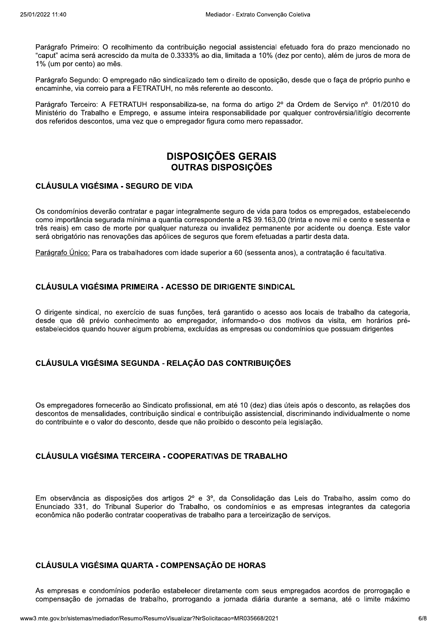Parágrafo Primeiro: O recolhimento da contribuição negocial assistencial efetuado fora do prazo mencionado no "caput" acima será acrescido da multa de 0.3333% ao dia. limitada a 10% (dez por cento), além de iuros de mora de 1% (um por cento) ao mês.

Parágrafo Segundo: O empregado não sindicalizado tem o direito de oposição, desde que o faça de próprio punho e encaminhe, via correio para a FETRATUH, no mês referente ao desconto.

Parágrafo Terceiro: A FETRATUH responsabiliza-se, na forma do artigo 2º da Ordem de Serviço nº. 01/2010 do Ministério do Trabalho e Emprego, e assume inteira responsabilidade por qualquer controvérsia/litígio decorrente dos referidos descontos, uma vez que o empregador figura como mero repassador.

# **DISPOSIÇÕES GERAIS OUTRAS DISPOSIÇÕES**

## **CLÁUSULA VIGÉSIMA - SEGURO DE VIDA**

Os condomínios deverão contratar e pagar integralmente seguro de vida para todos os empregados, estabelecendo como importância segurada mínima a guantia correspondente a R\$ 39.163,00 (trinta e nove mil e cento e sessenta e três reais) em caso de morte por qualquer natureza ou invalidez permanente por acidente ou doenca. Este valor será obrigatório nas renovações das apólices de seguros que forem efetuadas a partir desta data.

Parágrafo Único: Para os trabalhadores com idade superior a 60 (sessenta anos), a contratação é facultativa.

## CLÁUSULA VIGÉSIMA PRIMEIRA - ACESSO DE DIRIGENTE SINDICAL

O dirigente sindical, no exercício de suas funções, terá garantido o acesso aos locais de trabalho da categoria, desde que dê prévio conhecimento ao empregador, informando-o dos motivos da visita, em horários préestabelecidos quando houver algum problema, excluídas as empresas ou condomínios que possuam dirigentes

## CLÁUSULA VIGÉSIMA SEGUNDA - RELAÇÃO DAS CONTRIBUIÇÕES

Os empregadores fornecerão ao Sindicato profissional, em até 10 (dez) dias úteis após o desconto, as relações dos descontos de mensalidades, contribuição sindical e contribuição assistencial, discriminando individualmente o nome do contribuinte e o valor do desconto, desde que não proibido o desconto pela legislação.

## **CLÁUSULA VIGÉSIMA TERCEIRA - COOPERATIVAS DE TRABALHO**

Em observância as disposições dos artigos 2º e 3º, da Consolidação das Leis do Trabalho, assim como do Enunciado 331, do Tribunal Superior do Trabalho, os condomínios e as empresas integrantes da categoria econômica não poderão contratar cooperativas de trabalho para a terceirização de servicos.

## CLÁUSULA VIGÉSIMA QUARTA - COMPENSAÇÃO DE HORAS

As empresas e condomínios poderão estabelecer diretamente com seus empregados acordos de prorrogação e compensação de jornadas de trabalho, prorrogando a jornada diária durante a semana, até o limite máximo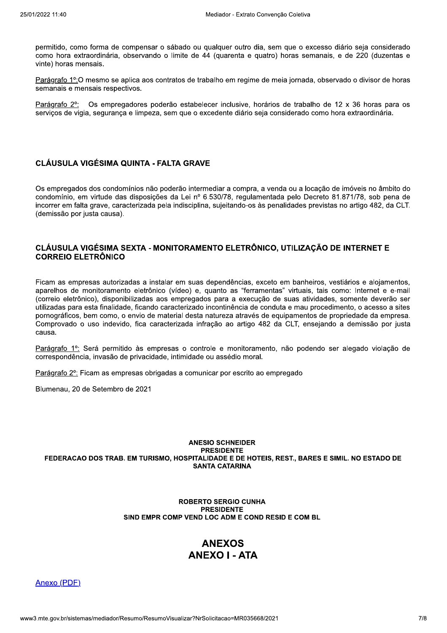permitido, como forma de compensar o sábado ou qualquer outro dia, sem que o excesso diário seja considerado como hora extraordinária, observando o limite de 44 (quarenta e quatro) horas semanais, e de 220 (duzentas e vinte) horas mensais.

Parágrafo 1º:O mesmo se aplica aos contratos de trabalho em regime de meia jornada, observado o divisor de horas semanais e mensais respectivos.

Parágrafo 2°: Os empregadores poderão estabelecer inclusive, horários de trabalho de 12 x 36 horas para os serviços de vigia, segurança e limpeza, sem que o excedente diário seja considerado como hora extraordinária.

## **CLÁUSULA VIGÉSIMA QUINTA - FALTA GRAVE**

Os empregados dos condomínios não poderão intermediar a compra, a venda ou a locação de imóveis no âmbito do condomínio, em virtude das disposições da Lei nº 6.530/78, regulamentada pelo Decreto 81.871/78, sob pena de incorrer em falta grave, caracterizada pela indisciplina, sujeitando-os às penalidades previstas no artigo 482, da CLT. (demissão por justa causa).

## CLÁUSULA VIGÉSIMA SEXTA - MONITORAMENTO ELETRÔNICO, UTILIZAÇÃO DE INTERNET E **CORREIO ELETRÔNICO**

Ficam as empresas autorizadas a instalar em suas dependências, exceto em banheiros, vestiários e alojamentos, aparelhos de monitoramento eletrônico (vídeo) e, quanto as "ferramentas" virtuais, tais como: Internet e e-mail (correio eletrônico), disponibilizadas aos empregados para a execução de suas atividades, somente deverão ser utilizadas para esta finalidade, ficando caracterizado incontinência de conduta e mau procedimento, o acesso a sites pornográficos, bem como, o envio de material desta natureza através de equipamentos de propriedade da empresa. Comprovado o uso indevido, fica caracterizada infração ao artigo 482 da CLT, ensejando a demissão por justa causa.

Parágrafo 1º: Será permitido às empresas o controle e monitoramento, não podendo ser alegado violação de correspondência, invasão de privacidade, intimidade ou assédio moral.

Parágrafo 2<sup>o</sup>: Ficam as empresas obrigadas a comunicar por escrito ao empregado

Blumenau, 20 de Setembro de 2021

#### **ANESIO SCHNEIDER PRESIDENTE** FEDERACAO DOS TRAB. EM TURISMO, HOSPITALIDADE E DE HOTEIS, REST., BARES E SIMIL, NO ESTADO DE **SANTA CATARINA**

#### **ROBERTO SERGIO CUNHA PRESIDENTE** SIND EMPR COMP VEND LOC ADM E COND RESID E COM BL

# **ANEXOS ANEXO I - ATA**

Anexo (PDF)